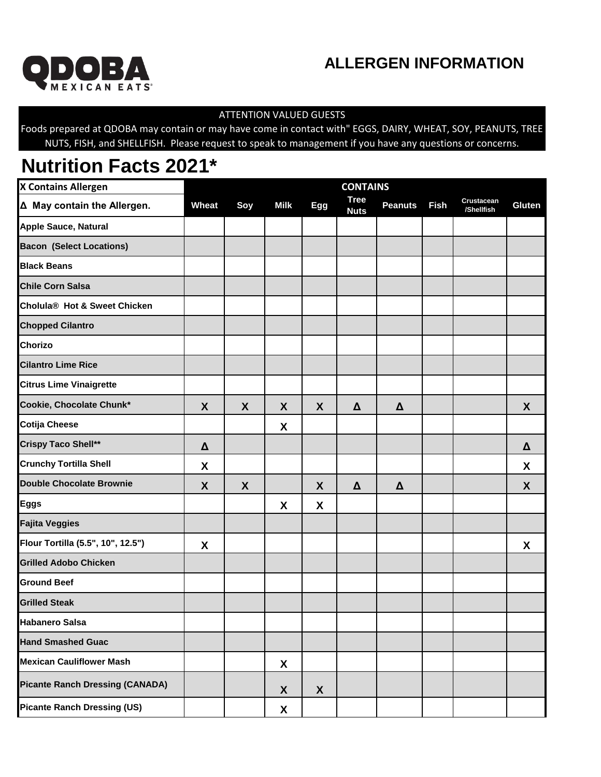

## **ALLERGEN INFORMATION**

## ATTENTION VALUED GUESTS

Foods prepared at QDOBA may contain or may have come in contact with" EGGS, DAIRY, WHEAT, SOY, PEANUTS, TREE NUTS, FISH, and SHELLFISH. Please request to speak to management if you have any questions or concerns.

## **Nutrition Facts 2021\***

| <b>X Contains Allergen</b>               | <b>CONTAINS</b> |     |                    |            |                            |                |             |                          |        |
|------------------------------------------|-----------------|-----|--------------------|------------|----------------------------|----------------|-------------|--------------------------|--------|
| Δ May contain the Allergen.              | Wheat           | Soy | <b>Milk</b>        | <b>Egg</b> | <b>Tree</b><br><b>Nuts</b> | <b>Peanuts</b> | <b>Fish</b> | Crustacean<br>/Shellfish | Gluten |
| <b>Apple Sauce, Natural</b>              |                 |     |                    |            |                            |                |             |                          |        |
| <b>Bacon (Select Locations)</b>          |                 |     |                    |            |                            |                |             |                          |        |
| <b>Black Beans</b>                       |                 |     |                    |            |                            |                |             |                          |        |
| <b>Chile Corn Salsa</b>                  |                 |     |                    |            |                            |                |             |                          |        |
| Cholula <sup>®</sup> Hot & Sweet Chicken |                 |     |                    |            |                            |                |             |                          |        |
| <b>Chopped Cilantro</b>                  |                 |     |                    |            |                            |                |             |                          |        |
| Chorizo                                  |                 |     |                    |            |                            |                |             |                          |        |
| <b>Cilantro Lime Rice</b>                |                 |     |                    |            |                            |                |             |                          |        |
| <b>Citrus Lime Vinaigrette</b>           |                 |     |                    |            |                            |                |             |                          |        |
| Cookie, Chocolate Chunk*                 | X               | X   | X                  | X          | $\Delta$                   | $\pmb{\Delta}$ |             |                          | X      |
| <b>Cotija Cheese</b>                     |                 |     | X                  |            |                            |                |             |                          |        |
| <b>Crispy Taco Shell**</b>               | Δ               |     |                    |            |                            |                |             |                          | Δ      |
| <b>Crunchy Tortilla Shell</b>            | X               |     |                    |            |                            |                |             |                          | X      |
| <b>Double Chocolate Brownie</b>          | X               | X   |                    | X          | $\Delta$                   | $\pmb{\Delta}$ |             |                          | X      |
| <b>Eggs</b>                              |                 |     | X                  | X          |                            |                |             |                          |        |
| <b>Fajita Veggies</b>                    |                 |     |                    |            |                            |                |             |                          |        |
| Flour Tortilla (5.5", 10", 12.5")        | X               |     |                    |            |                            |                |             |                          | X      |
| <b>Grilled Adobo Chicken</b>             |                 |     |                    |            |                            |                |             |                          |        |
| <b>Ground Beef</b>                       |                 |     |                    |            |                            |                |             |                          |        |
| <b>Grilled Steak</b>                     |                 |     |                    |            |                            |                |             |                          |        |
| <b>Habanero Salsa</b>                    |                 |     |                    |            |                            |                |             |                          |        |
| <b>Hand Smashed Guac</b>                 |                 |     |                    |            |                            |                |             |                          |        |
| <b>Mexican Cauliflower Mash</b>          |                 |     | X                  |            |                            |                |             |                          |        |
| <b>Picante Ranch Dressing (CANADA)</b>   |                 |     | X                  | X          |                            |                |             |                          |        |
| <b>Picante Ranch Dressing (US)</b>       |                 |     | $\pmb{\mathsf{X}}$ |            |                            |                |             |                          |        |